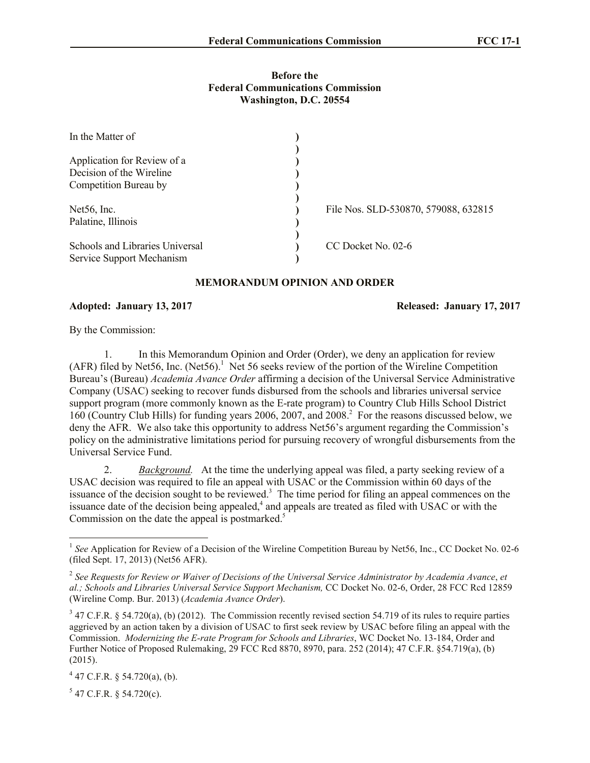## **Before the Federal Communications Commission Washington, D.C. 20554**

| In the Matter of                |                                      |
|---------------------------------|--------------------------------------|
|                                 |                                      |
| Application for Review of a     |                                      |
| Decision of the Wireline        |                                      |
| Competition Bureau by           |                                      |
| Net56, Inc.                     | File Nos. SLD-530870, 579088, 632815 |
| Palatine, Illinois              |                                      |
| Schools and Libraries Universal | CC Docket No. 02-6                   |
| Service Support Mechanism       |                                      |

## **MEMORANDUM OPINION AND ORDER**

## **Adopted: January 13, 2017 Released: January 17, 2017**

By the Commission:

1. In this Memorandum Opinion and Order (Order), we deny an application for review (AFR) filed by Net56, Inc. (Net56).<sup>1</sup> Net 56 seeks review of the portion of the Wireline Competition Bureau's (Bureau) *Academia Avance Order* affirming a decision of the Universal Service Administrative Company (USAC) seeking to recover funds disbursed from the schools and libraries universal service support program (more commonly known as the E-rate program) to Country Club Hills School District 160 (Country Club Hills) for funding years 2006, 2007, and 2008. 2 For the reasons discussed below, we deny the AFR. We also take this opportunity to address Net56's argument regarding the Commission's policy on the administrative limitations period for pursuing recovery of wrongful disbursements from the Universal Service Fund.

2. *Background.* At the time the underlying appeal was filed, a party seeking review of a USAC decision was required to file an appeal with USAC or the Commission within 60 days of the issuance of the decision sought to be reviewed.<sup>3</sup> The time period for filing an appeal commences on the issuance date of the decision being appealed, $4$  and appeals are treated as filed with USAC or with the Commission on the date the appeal is postmarked.<sup>5</sup>

 $5$  47 C.F.R. § 54.720(c).

 $\overline{a}$ 

<sup>&</sup>lt;sup>1</sup> See Application for Review of a Decision of the Wireline Competition Bureau by Net56, Inc., CC Docket No. 02-6 (filed Sept. 17, 2013) (Net56 AFR).

<sup>2</sup> *See Requests for Review or Waiver of Decisions of the Universal Service Administrator by Academia Avance*, *et al.; Schools and Libraries Universal Service Support Mechanism,* CC Docket No. 02-6, Order, 28 FCC Rcd 12859 (Wireline Comp. Bur. 2013) (*Academia Avance Order*).

 $3$  47 C.F.R. § 54.720(a), (b) (2012). The Commission recently revised section 54.719 of its rules to require parties aggrieved by an action taken by a division of USAC to first seek review by USAC before filing an appeal with the Commission. *Modernizing the E-rate Program for Schools and Libraries*, WC Docket No. 13-184, Order and Further Notice of Proposed Rulemaking, 29 FCC Rcd 8870, 8970, para. 252 (2014); 47 C.F.R. §54.719(a), (b) (2015).

 $4$  47 C.F.R. § 54.720(a), (b).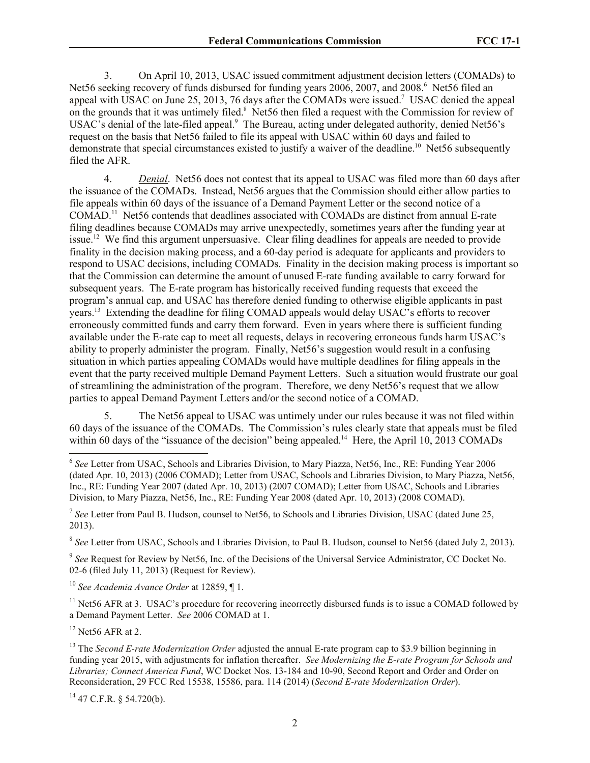3. On April 10, 2013, USAC issued commitment adjustment decision letters (COMADs) to Net56 seeking recovery of funds disbursed for funding years 2006, 2007, and 2008.<sup>6</sup> Net56 filed an appeal with USAC on June 25, 2013, 76 days after the COMADs were issued.<sup>7</sup> USAC denied the appeal on the grounds that it was untimely filed.<sup>8</sup> Net56 then filed a request with the Commission for review of USAC's denial of the late-filed appeal.<sup>9</sup> The Bureau, acting under delegated authority, denied Net56's request on the basis that Net56 failed to file its appeal with USAC within 60 days and failed to demonstrate that special circumstances existed to justify a waiver of the deadline.<sup>10</sup> Net56 subsequently filed the AFR.

4. *Denial*. Net56 does not contest that its appeal to USAC was filed more than 60 days after the issuance of the COMADs. Instead, Net56 argues that the Commission should either allow parties to file appeals within 60 days of the issuance of a Demand Payment Letter or the second notice of a COMAD. 11 Net56 contends that deadlines associated with COMADs are distinct from annual E-rate filing deadlines because COMADs may arrive unexpectedly, sometimes years after the funding year at issue.<sup>12</sup> We find this argument unpersuasive. Clear filing deadlines for appeals are needed to provide finality in the decision making process, and a 60-day period is adequate for applicants and providers to respond to USAC decisions, including COMADs. Finality in the decision making process is important so that the Commission can determine the amount of unused E-rate funding available to carry forward for subsequent years. The E-rate program has historically received funding requests that exceed the program's annual cap, and USAC has therefore denied funding to otherwise eligible applicants in past years.<sup>13</sup> Extending the deadline for filing COMAD appeals would delay USAC's efforts to recover erroneously committed funds and carry them forward. Even in years where there is sufficient funding available under the E-rate cap to meet all requests, delays in recovering erroneous funds harm USAC's ability to properly administer the program. Finally, Net56's suggestion would result in a confusing situation in which parties appealing COMADs would have multiple deadlines for filing appeals in the event that the party received multiple Demand Payment Letters. Such a situation would frustrate our goal of streamlining the administration of the program. Therefore, we deny Net56's request that we allow parties to appeal Demand Payment Letters and/or the second notice of a COMAD.

5. The Net56 appeal to USAC was untimely under our rules because it was not filed within 60 days of the issuance of the COMADs. The Commission's rules clearly state that appeals must be filed within 60 days of the "issuance of the decision" being appealed.<sup>14</sup> Here, the April 10, 2013 COMADs

7 *See* Letter from Paul B. Hudson, counsel to Net56, to Schools and Libraries Division, USAC (dated June 25, 2013).

8 *See* Letter from USAC, Schools and Libraries Division, to Paul B. Hudson, counsel to Net56 (dated July 2, 2013).

<sup>9</sup> See Request for Review by Net56, Inc. of the Decisions of the Universal Service Administrator, CC Docket No. 02-6 (filed July 11, 2013) (Request for Review).

<sup>10</sup> *See Academia Avance Order* at 12859, ¶ 1.

<sup>11</sup> Net56 AFR at 3. USAC's procedure for recovering incorrectly disbursed funds is to issue a COMAD followed by a Demand Payment Letter. *See* 2006 COMAD at 1.

 $12$  Net56 AFR at 2.

l

<sup>&</sup>lt;sup>6</sup> See Letter from USAC, Schools and Libraries Division, to Mary Piazza, Net56, Inc., RE: Funding Year 2006 (dated Apr. 10, 2013) (2006 COMAD); Letter from USAC, Schools and Libraries Division, to Mary Piazza, Net56, Inc., RE: Funding Year 2007 (dated Apr. 10, 2013) (2007 COMAD); Letter from USAC, Schools and Libraries Division, to Mary Piazza, Net56, Inc., RE: Funding Year 2008 (dated Apr. 10, 2013) (2008 COMAD).

<sup>&</sup>lt;sup>13</sup> The *Second E-rate Modernization Order* adjusted the annual E-rate program cap to \$3.9 billion beginning in funding year 2015, with adjustments for inflation thereafter. *See Modernizing the E-rate Program for Schools and Libraries; Connect America Fund*, WC Docket Nos. 13-184 and 10-90, Second Report and Order and Order on Reconsideration, 29 FCC Rcd 15538, 15586, para. 114 (2014) (*Second E-rate Modernization Order*).

 $14$  47 C.F.R. § 54.720(b).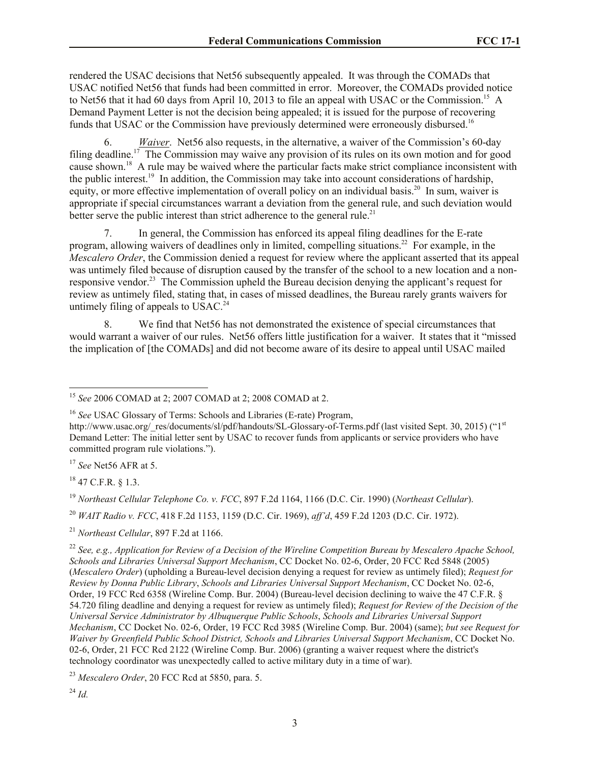rendered the USAC decisions that Net56 subsequently appealed. It was through the COMADs that USAC notified Net56 that funds had been committed in error. Moreover, the COMADs provided notice to Net56 that it had 60 days from April 10, 2013 to file an appeal with USAC or the Commission.<sup>15</sup> A Demand Payment Letter is not the decision being appealed; it is issued for the purpose of recovering funds that USAC or the Commission have previously determined were erroneously disbursed.<sup>16</sup>

6. *Waiver*. Net56 also requests, in the alternative, a waiver of the Commission's 60-day filing deadline.<sup>17</sup> The Commission may waive any provision of its rules on its own motion and for good cause shown.<sup>18</sup> A rule may be waived where the particular facts make strict compliance inconsistent with the public interest.<sup>19</sup> In addition, the Commission may take into account considerations of hardship, equity, or more effective implementation of overall policy on an individual basis.<sup>20</sup> In sum, waiver is appropriate if special circumstances warrant a deviation from the general rule, and such deviation would better serve the public interest than strict adherence to the general rule.<sup>21</sup>

7. In general, the Commission has enforced its appeal filing deadlines for the E-rate program, allowing waivers of deadlines only in limited, compelling situations.<sup>22</sup> For example, in the *Mescalero Order*, the Commission denied a request for review where the applicant asserted that its appeal was untimely filed because of disruption caused by the transfer of the school to a new location and a nonresponsive vendor.<sup>23</sup> The Commission upheld the Bureau decision denying the applicant's request for review as untimely filed, stating that, in cases of missed deadlines, the Bureau rarely grants waivers for untimely filing of appeals to  $USAC.<sup>24</sup>$ 

8. We find that Net56 has not demonstrated the existence of special circumstances that would warrant a waiver of our rules. Net56 offers little justification for a waiver. It states that it "missed the implication of [the COMADs] and did not become aware of its desire to appeal until USAC mailed

<sup>17</sup> *See* Net56 AFR at 5.

<sup>18</sup> 47 C.F.R. § 1.3.

l

<sup>19</sup> *Northeast Cellular Telephone Co. v. FCC*, 897 F.2d 1164, 1166 (D.C. Cir. 1990) (*Northeast Cellular*).

<sup>20</sup> *WAIT Radio v. FCC*, 418 F.2d 1153, 1159 (D.C. Cir. 1969), *aff'd*, 459 F.2d 1203 (D.C. Cir. 1972).

<sup>21</sup> *Northeast Cellular*, 897 F.2d at 1166.

<sup>15</sup> *See* 2006 COMAD at 2; 2007 COMAD at 2; 2008 COMAD at 2.

<sup>&</sup>lt;sup>16</sup> See USAC Glossary of Terms: Schools and Libraries (E-rate) Program.

http://www.usac.org/\_res/documents/sl/pdf/handouts/SL-Glossary-of-Terms.pdf (last visited Sept. 30, 2015) ("1st Demand Letter: The initial letter sent by USAC to recover funds from applicants or service providers who have committed program rule violations.").

<sup>22</sup> *See, e.g., Application for Review of a Decision of the Wireline Competition Bureau by Mescalero Apache School, Schools and Libraries Universal Support Mechanism*, CC Docket No. 02-6, Order, 20 FCC Rcd 5848 (2005) (*Mescalero Order*) (upholding a Bureau-level decision denying a request for review as untimely filed); *Request for Review by Donna Public Library*, *Schools and Libraries Universal Support Mechanism*, CC Docket No. 02-6, Order, 19 FCC Rcd 6358 (Wireline Comp. Bur. 2004) (Bureau-level decision declining to waive the 47 C.F.R. § 54.720 filing deadline and denying a request for review as untimely filed); *Request for Review of the Decision of the Universal Service Administrator by Albuquerque Public Schools*, *Schools and Libraries Universal Support Mechanism*, CC Docket No. 02-6, Order, 19 FCC Rcd 3985 (Wireline Comp. Bur. 2004) (same); *but see Request for Waiver by Greenfield Public School District, Schools and Libraries Universal Support Mechanism*, CC Docket No. 02-6, Order, 21 FCC Rcd 2122 (Wireline Comp. Bur. 2006) (granting a waiver request where the district's technology coordinator was unexpectedly called to active military duty in a time of war).

<sup>23</sup> *Mescalero Order*, 20 FCC Rcd at 5850, para. 5.

<sup>24</sup> *Id.*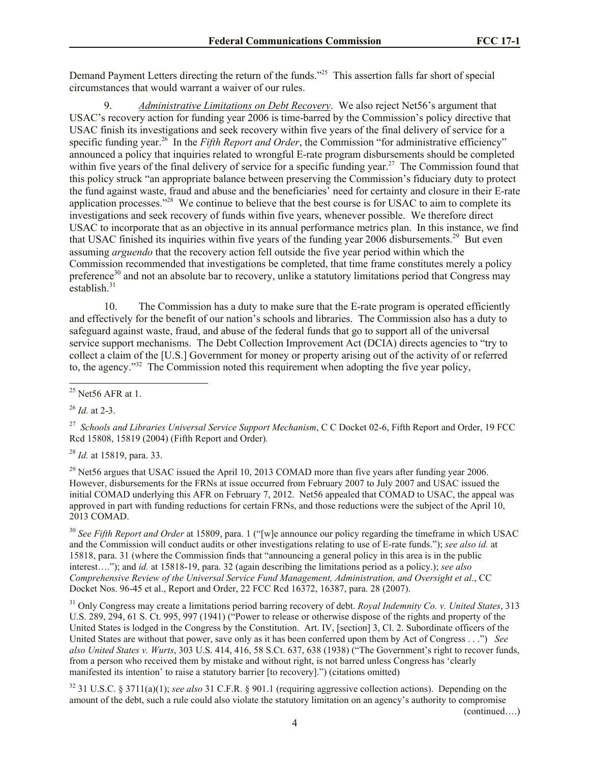Demand Payment Letters directing the return of the funds."<sup>25</sup> This assertion falls far short of special circumstances that would warrant a waiver of our rules.

9. *Administrative Limitations on Debt Recovery*. We also reject Net56's argument that USAC's recovery action for funding year 2006 is time-barred by the Commission's policy directive that USAC finish its investigations and seek recovery within five years of the final delivery of service for a specific funding year.<sup>26</sup> In the *Fifth Report and Order*, the Commission "for administrative efficiency" announced a policy that inquiries related to wrongful E-rate program disbursements should be completed within five years of the final delivery of service for a specific funding year.<sup>27</sup> The Commission found that this policy struck "an appropriate balance between preserving the Commission's fiduciary duty to protect the fund against waste, fraud and abuse and the beneficiaries' need for certainty and closure in their E-rate application processes."<sup>28</sup> We continue to believe that the best course is for USAC to aim to complete its investigations and seek recovery of funds within five years, whenever possible. We therefore direct USAC to incorporate that as an objective in its annual performance metrics plan. In this instance, we find that USAC finished its inquiries within five years of the funding year 2006 disbursements.<sup>29</sup> But even assuming *arguendo* that the recovery action fell outside the five year period within which the Commission recommended that investigations be completed, that time frame constitutes merely a policy preference<sup>30</sup> and not an absolute bar to recovery, unlike a statutory limitations period that Congress may  $establish$ <sup>31</sup>

10. The Commission has a duty to make sure that the E-rate program is operated efficiently and effectively for the benefit of our nation's schools and libraries. The Commission also has a duty to safeguard against waste, fraud, and abuse of the federal funds that go to support all of the universal service support mechanisms. The Debt Collection Improvement Act (DCIA) directs agencies to "try to collect a claim of the [U.S.] Government for money or property arising out of the activity of or referred to, the agency."<sup>32</sup> The Commission noted this requirement when adopting the five year policy,

<sup>26</sup> *Id.* at 2-3.

<sup>27</sup> *Schools and Libraries Universal Service Support Mechanism*, C C Docket 02-6, Fifth Report and Order, 19 FCC Rcd 15808, 15819 (2004) (Fifth Report and Order)*.*

<sup>28</sup> *Id.* at 15819, para. 33.

 $^{29}$  Net56 argues that USAC issued the April 10, 2013 COMAD more than five years after funding year 2006. However, disbursements for the FRNs at issue occurred from February 2007 to July 2007 and USAC issued the initial COMAD underlying this AFR on February 7, 2012. Net56 appealed that COMAD to USAC, the appeal was approved in part with funding reductions for certain FRNs, and those reductions were the subject of the April 10, 2013 COMAD.

<sup>30</sup> *See Fifth Report and Order* at 15809, para. 1 ("[w]e announce our policy regarding the timeframe in which USAC and the Commission will conduct audits or other investigations relating to use of E-rate funds."); *see also id.* at 15818, para. 31 (where the Commission finds that "announcing a general policy in this area is in the public interest…."); and *id.* at 15818-19, para. 32 (again describing the limitations period as a policy.); *see also Comprehensive Review of the Universal Service Fund Management, Administration, and Oversight et al.*, CC Docket Nos. 96-45 et al., Report and Order, 22 FCC Rcd 16372, 16387, para. 28 (2007).

<sup>31</sup> Only Congress may create a limitations period barring recovery of debt. *Royal Indemnity Co. v. United States*, 313 U.S. 289, 294, 61 S. Ct. 995, 997 (1941) ("Power to release or otherwise dispose of the rights and property of the United States is lodged in the Congress by the Constitution. Art. IV, [section] 3, Cl. 2. Subordinate officers of the United States are without that power, save only as it has been conferred upon them by Act of Congress . . .") *See also United States v. Wurts*, 303 U.S. 414, 416, 58 S.Ct. 637, 638 (1938) ("The Government's right to recover funds, from a person who received them by mistake and without right, is not barred unless Congress has 'clearly manifested its intention' to raise a statutory barrier [to recovery].") (citations omitted)

<sup>32</sup> 31 U.S.C. § 3711(a)(1); *see also* 31 C.F.R. § 901.1 (requiring aggressive collection actions). Depending on the amount of the debt, such a rule could also violate the statutory limitation on an agency's authority to compromise

(continued….)

l  $25$  Net56 AFR at 1.